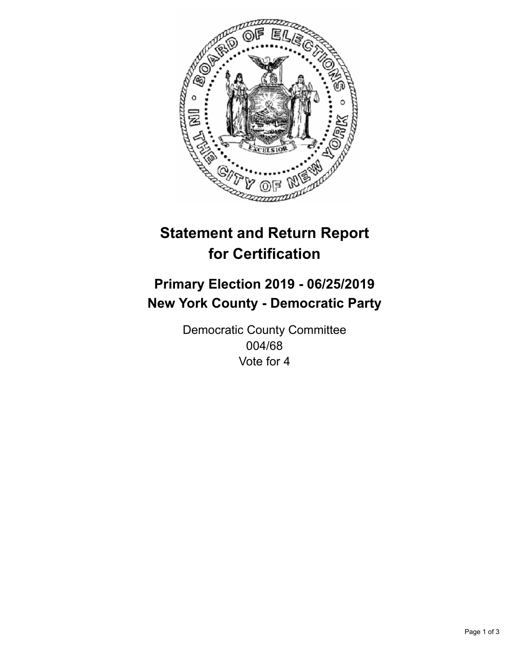

## **Statement and Return Report for Certification**

## **Primary Election 2019 - 06/25/2019 New York County - Democratic Party**

Democratic County Committee 004/68 Vote for 4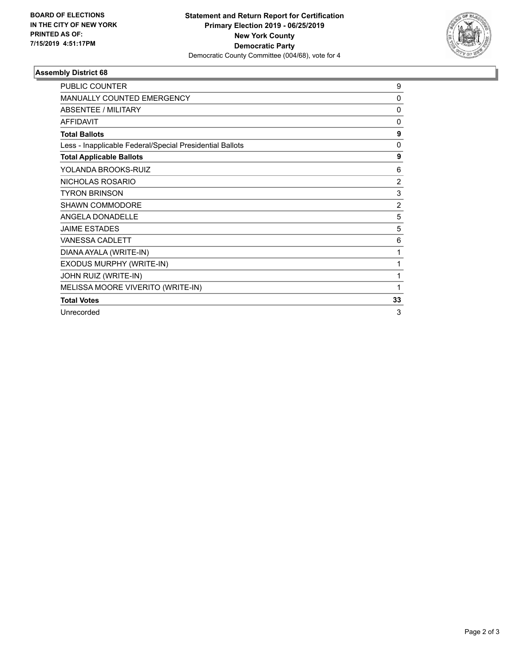

## **Assembly District 68**

| <b>PUBLIC COUNTER</b>                                    | 9              |
|----------------------------------------------------------|----------------|
| <b>MANUALLY COUNTED EMERGENCY</b>                        | 0              |
| ABSENTEE / MILITARY                                      | $\mathbf{0}$   |
| <b>AFFIDAVIT</b>                                         | $\mathbf{0}$   |
| <b>Total Ballots</b>                                     | 9              |
| Less - Inapplicable Federal/Special Presidential Ballots | $\mathbf{0}$   |
| <b>Total Applicable Ballots</b>                          | 9              |
| YOLANDA BROOKS-RUIZ                                      | 6              |
| NICHOLAS ROSARIO                                         | $\overline{2}$ |
| <b>TYRON BRINSON</b>                                     | 3              |
| SHAWN COMMODORE                                          | $\overline{2}$ |
| ANGELA DONADELLE                                         | 5              |
| <b>JAIME ESTADES</b>                                     | 5              |
| <b>VANESSA CADLETT</b>                                   | 6              |
| DIANA AYALA (WRITE-IN)                                   | 1              |
| EXODUS MURPHY (WRITE-IN)                                 | 1              |
| JOHN RUIZ (WRITE-IN)                                     | 1              |
| MELISSA MOORE VIVERITO (WRITE-IN)                        | 1              |
| <b>Total Votes</b>                                       | 33             |
| Unrecorded                                               | 3              |